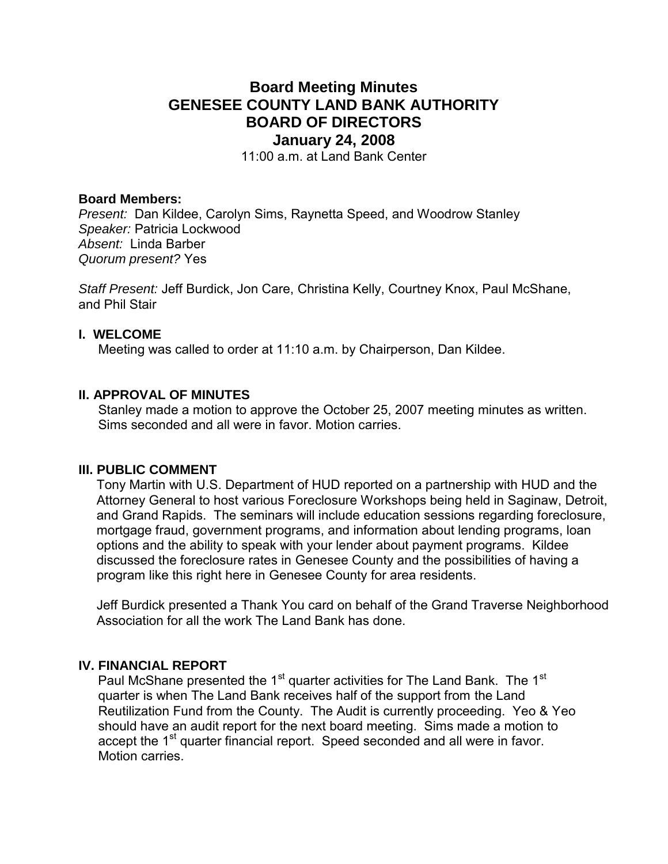## **Board Meeting Minutes GENESEE COUNTY LAND BANK AUTHORITY BOARD OF DIRECTORS January 24, 2008**

11:00 a.m. at Land Bank Center

#### **Board Members:**

*Present:* Dan Kildee, Carolyn Sims, Raynetta Speed, and Woodrow Stanley *Speaker:* Patricia Lockwood *Absent:* Linda Barber *Quorum present?* Yes

*Staff Present:* Jeff Burdick, Jon Care, Christina Kelly, Courtney Knox, Paul McShane, and Phil Stair

#### **I. WELCOME**

Meeting was called to order at 11:10 a.m. by Chairperson, Dan Kildee.

#### **II. APPROVAL OF MINUTES**

Stanley made a motion to approve the October 25, 2007 meeting minutes as written. Sims seconded and all were in favor. Motion carries.

#### **III. PUBLIC COMMENT**

Tony Martin with U.S. Department of HUD reported on a partnership with HUD and the Attorney General to host various Foreclosure Workshops being held in Saginaw, Detroit, and Grand Rapids. The seminars will include education sessions regarding foreclosure, mortgage fraud, government programs, and information about lending programs, loan options and the ability to speak with your lender about payment programs. Kildee discussed the foreclosure rates in Genesee County and the possibilities of having a program like this right here in Genesee County for area residents.

Jeff Burdick presented a Thank You card on behalf of the Grand Traverse Neighborhood Association for all the work The Land Bank has done.

#### **IV. FINANCIAL REPORT**

Paul McShane presented the 1<sup>st</sup> quarter activities for The Land Bank. The 1<sup>st</sup> quarter is when The Land Bank receives half of the support from the Land Reutilization Fund from the County. The Audit is currently proceeding. Yeo & Yeo should have an audit report for the next board meeting. Sims made a motion to accept the 1<sup>st</sup> quarter financial report. Speed seconded and all were in favor. Motion carries.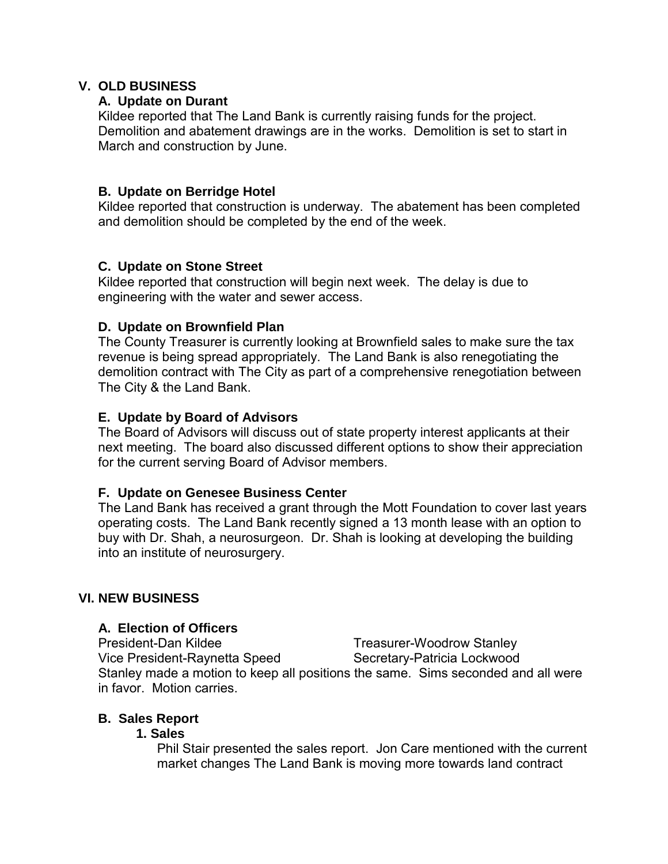## **V. OLD BUSINESS**

## **A. Update on Durant**

Kildee reported that The Land Bank is currently raising funds for the project. Demolition and abatement drawings are in the works. Demolition is set to start in March and construction by June.

## **B. Update on Berridge Hotel**

Kildee reported that construction is underway. The abatement has been completed and demolition should be completed by the end of the week.

## **C. Update on Stone Street**

Kildee reported that construction will begin next week. The delay is due to engineering with the water and sewer access.

## **D. Update on Brownfield Plan**

The County Treasurer is currently looking at Brownfield sales to make sure the tax revenue is being spread appropriately. The Land Bank is also renegotiating the demolition contract with The City as part of a comprehensive renegotiation between The City & the Land Bank.

## **E. Update by Board of Advisors**

The Board of Advisors will discuss out of state property interest applicants at their next meeting. The board also discussed different options to show their appreciation for the current serving Board of Advisor members.

## **F. Update on Genesee Business Center**

The Land Bank has received a grant through the Mott Foundation to cover last years operating costs. The Land Bank recently signed a 13 month lease with an option to buy with Dr. Shah, a neurosurgeon. Dr. Shah is looking at developing the building into an institute of neurosurgery.

## **VI. NEW BUSINESS**

## **A. Election of Officers**

President-Dan Kildee Treasurer-Woodrow Stanley Vice President-Raynetta Speed Secretary-Patricia Lockwood Stanley made a motion to keep all positions the same. Sims seconded and all were in favor. Motion carries.

## **B. Sales Report**

## **1. Sales**

Phil Stair presented the sales report. Jon Care mentioned with the current market changes The Land Bank is moving more towards land contract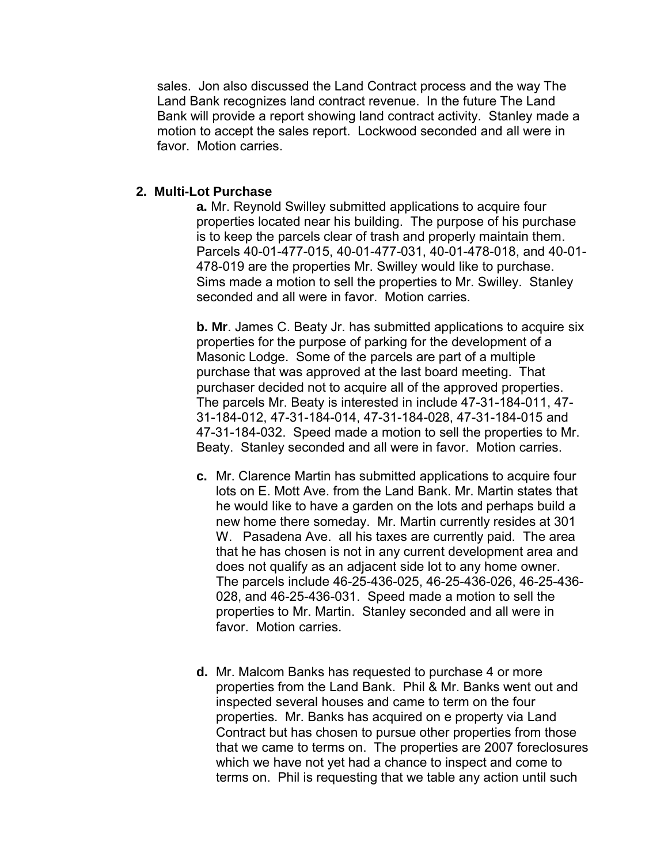sales. Jon also discussed the Land Contract process and the way The Land Bank recognizes land contract revenue. In the future The Land Bank will provide a report showing land contract activity. Stanley made a motion to accept the sales report. Lockwood seconded and all were in favor Motion carries

#### **2. Multi-Lot Purchase**

**a.** Mr. Reynold Swilley submitted applications to acquire four properties located near his building. The purpose of his purchase is to keep the parcels clear of trash and properly maintain them. Parcels 40-01-477-015, 40-01-477-031, 40-01-478-018, and 40-01- 478-019 are the properties Mr. Swilley would like to purchase. Sims made a motion to sell the properties to Mr. Swilley. Stanley seconded and all were in favor. Motion carries.

**b. Mr**. James C. Beaty Jr. has submitted applications to acquire six properties for the purpose of parking for the development of a Masonic Lodge. Some of the parcels are part of a multiple purchase that was approved at the last board meeting. That purchaser decided not to acquire all of the approved properties. The parcels Mr. Beaty is interested in include 47-31-184-011, 47- 31-184-012, 47-31-184-014, 47-31-184-028, 47-31-184-015 and 47-31-184-032. Speed made a motion to sell the properties to Mr. Beaty. Stanley seconded and all were in favor. Motion carries.

- **c.** Mr. Clarence Martin has submitted applications to acquire four lots on E. Mott Ave. from the Land Bank. Mr. Martin states that he would like to have a garden on the lots and perhaps build a new home there someday. Mr. Martin currently resides at 301 W. Pasadena Ave. all his taxes are currently paid. The area that he has chosen is not in any current development area and does not qualify as an adjacent side lot to any home owner. The parcels include 46-25-436-025, 46-25-436-026, 46-25-436- 028, and 46-25-436-031. Speed made a motion to sell the properties to Mr. Martin. Stanley seconded and all were in favor. Motion carries.
- **d.** Mr. Malcom Banks has requested to purchase 4 or more properties from the Land Bank. Phil & Mr. Banks went out and inspected several houses and came to term on the four properties. Mr. Banks has acquired on e property via Land Contract but has chosen to pursue other properties from those that we came to terms on. The properties are 2007 foreclosures which we have not yet had a chance to inspect and come to terms on. Phil is requesting that we table any action until such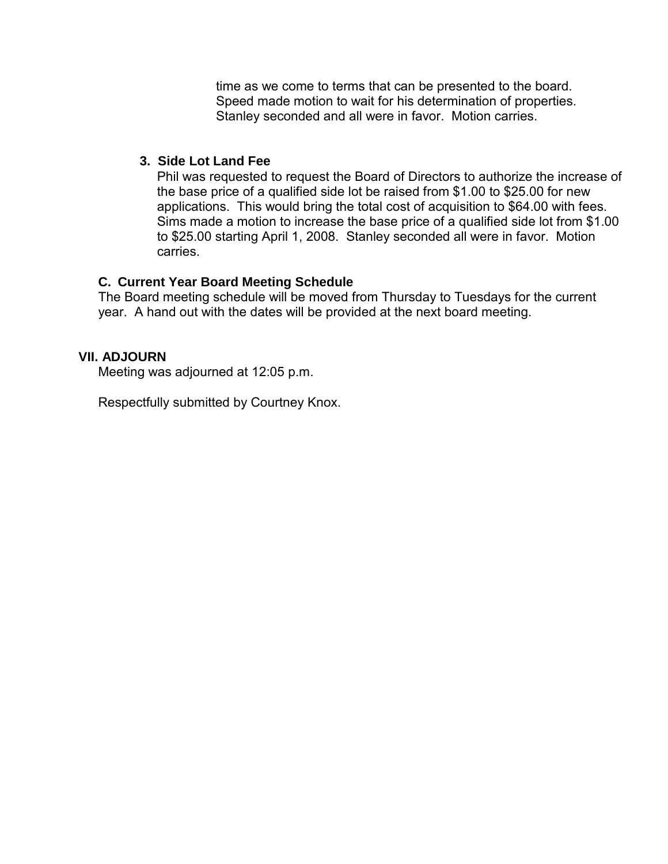time as we come to terms that can be presented to the board. Speed made motion to wait for his determination of properties. Stanley seconded and all were in favor. Motion carries.

## **3. Side Lot Land Fee**

Phil was requested to request the Board of Directors to authorize the increase of the base price of a qualified side lot be raised from \$1.00 to \$25.00 for new applications. This would bring the total cost of acquisition to \$64.00 with fees. Sims made a motion to increase the base price of a qualified side lot from \$1.00 to \$25.00 starting April 1, 2008. Stanley seconded all were in favor. Motion carries.

## **C. Current Year Board Meeting Schedule**

The Board meeting schedule will be moved from Thursday to Tuesdays for the current year. A hand out with the dates will be provided at the next board meeting.

## **VII. ADJOURN**

Meeting was adjourned at 12:05 p.m.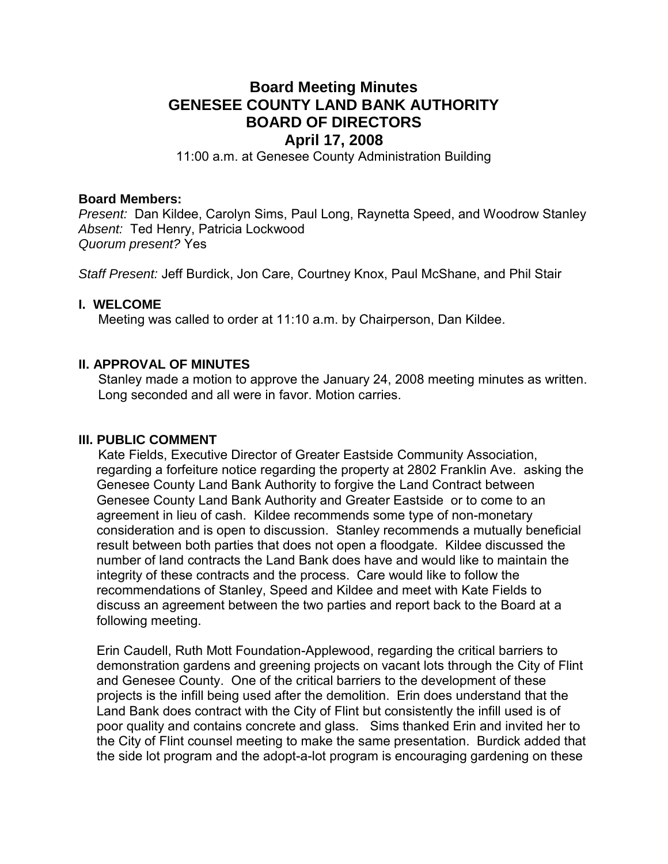## **Board Meeting Minutes GENESEE COUNTY LAND BANK AUTHORITY BOARD OF DIRECTORS April 17, 2008**

11:00 a.m. at Genesee County Administration Building

#### **Board Members:**

*Present:* Dan Kildee, Carolyn Sims, Paul Long, Raynetta Speed, and Woodrow Stanley *Absent:* Ted Henry, Patricia Lockwood *Quorum present?* Yes

*Staff Present:* Jeff Burdick, Jon Care, Courtney Knox, Paul McShane, and Phil Stair

## **I. WELCOME**

Meeting was called to order at 11:10 a.m. by Chairperson, Dan Kildee.

## **II. APPROVAL OF MINUTES**

Stanley made a motion to approve the January 24, 2008 meeting minutes as written. Long seconded and all were in favor. Motion carries.

#### **III. PUBLIC COMMENT**

Kate Fields, Executive Director of Greater Eastside Community Association, regarding a forfeiture notice regarding the property at 2802 Franklin Ave. asking the Genesee County Land Bank Authority to forgive the Land Contract between Genesee County Land Bank Authority and Greater Eastside or to come to an agreement in lieu of cash. Kildee recommends some type of non-monetary consideration and is open to discussion. Stanley recommends a mutually beneficial result between both parties that does not open a floodgate. Kildee discussed the number of land contracts the Land Bank does have and would like to maintain the integrity of these contracts and the process. Care would like to follow the recommendations of Stanley, Speed and Kildee and meet with Kate Fields to discuss an agreement between the two parties and report back to the Board at a following meeting.

Erin Caudell, Ruth Mott Foundation-Applewood, regarding the critical barriers to demonstration gardens and greening projects on vacant lots through the City of Flint and Genesee County. One of the critical barriers to the development of these projects is the infill being used after the demolition. Erin does understand that the Land Bank does contract with the City of Flint but consistently the infill used is of poor quality and contains concrete and glass. Sims thanked Erin and invited her to the City of Flint counsel meeting to make the same presentation. Burdick added that the side lot program and the adopt-a-lot program is encouraging gardening on these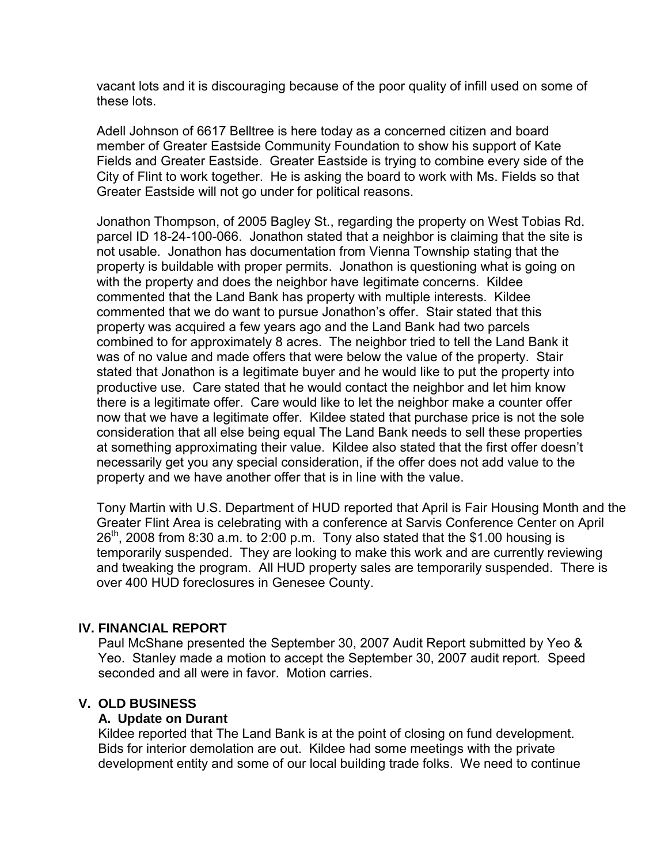vacant lots and it is discouraging because of the poor quality of infill used on some of these lots.

Adell Johnson of 6617 Belltree is here today as a concerned citizen and board member of Greater Eastside Community Foundation to show his support of Kate Fields and Greater Eastside. Greater Eastside is trying to combine every side of the City of Flint to work together. He is asking the board to work with Ms. Fields so that Greater Eastside will not go under for political reasons.

Jonathon Thompson, of 2005 Bagley St., regarding the property on West Tobias Rd. parcel ID 18-24-100-066. Jonathon stated that a neighbor is claiming that the site is not usable. Jonathon has documentation from Vienna Township stating that the property is buildable with proper permits. Jonathon is questioning what is going on with the property and does the neighbor have legitimate concerns. Kildee commented that the Land Bank has property with multiple interests. Kildee commented that we do want to pursue Jonathon's offer. Stair stated that this property was acquired a few years ago and the Land Bank had two parcels combined to for approximately 8 acres. The neighbor tried to tell the Land Bank it was of no value and made offers that were below the value of the property. Stair stated that Jonathon is a legitimate buyer and he would like to put the property into productive use. Care stated that he would contact the neighbor and let him know there is a legitimate offer. Care would like to let the neighbor make a counter offer now that we have a legitimate offer. Kildee stated that purchase price is not the sole consideration that all else being equal The Land Bank needs to sell these properties at something approximating their value. Kildee also stated that the first offer doesn't necessarily get you any special consideration, if the offer does not add value to the property and we have another offer that is in line with the value.

Tony Martin with U.S. Department of HUD reported that April is Fair Housing Month and the Greater Flint Area is celebrating with a conference at Sarvis Conference Center on April  $26<sup>th</sup>$ , 2008 from 8:30 a.m. to 2:00 p.m. Tony also stated that the \$1.00 housing is temporarily suspended. They are looking to make this work and are currently reviewing and tweaking the program. All HUD property sales are temporarily suspended. There is over 400 HUD foreclosures in Genesee County.

## **IV. FINANCIAL REPORT**

Paul McShane presented the September 30, 2007 Audit Report submitted by Yeo & Yeo. Stanley made a motion to accept the September 30, 2007 audit report. Speed seconded and all were in favor. Motion carries.

## **V. OLD BUSINESS**

## **A. Update on Durant**

Kildee reported that The Land Bank is at the point of closing on fund development. Bids for interior demolation are out. Kildee had some meetings with the private development entity and some of our local building trade folks. We need to continue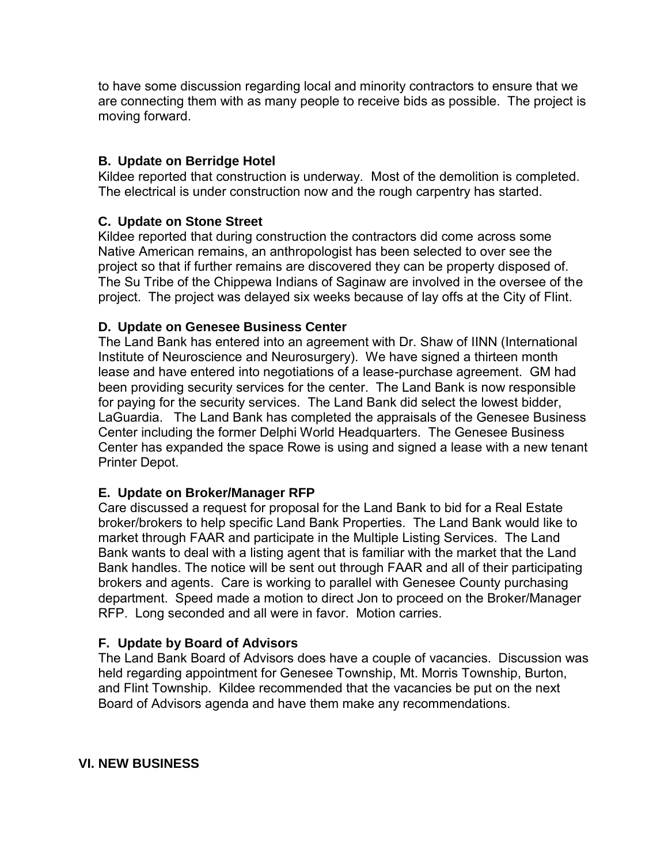to have some discussion regarding local and minority contractors to ensure that we are connecting them with as many people to receive bids as possible. The project is moving forward.

## **B. Update on Berridge Hotel**

Kildee reported that construction is underway. Most of the demolition is completed. The electrical is under construction now and the rough carpentry has started.

## **C. Update on Stone Street**

Kildee reported that during construction the contractors did come across some Native American remains, an anthropologist has been selected to over see the project so that if further remains are discovered they can be property disposed of. The Su Tribe of the Chippewa Indians of Saginaw are involved in the oversee of the project. The project was delayed six weeks because of lay offs at the City of Flint.

## **D. Update on Genesee Business Center**

The Land Bank has entered into an agreement with Dr. Shaw of IINN (International Institute of Neuroscience and Neurosurgery). We have signed a thirteen month lease and have entered into negotiations of a lease-purchase agreement. GM had been providing security services for the center. The Land Bank is now responsible for paying for the security services. The Land Bank did select the lowest bidder, LaGuardia. The Land Bank has completed the appraisals of the Genesee Business Center including the former Delphi World Headquarters. The Genesee Business Center has expanded the space Rowe is using and signed a lease with a new tenant Printer Depot.

## **E. Update on Broker/Manager RFP**

Care discussed a request for proposal for the Land Bank to bid for a Real Estate broker/brokers to help specific Land Bank Properties. The Land Bank would like to market through FAAR and participate in the Multiple Listing Services. The Land Bank wants to deal with a listing agent that is familiar with the market that the Land Bank handles. The notice will be sent out through FAAR and all of their participating brokers and agents. Care is working to parallel with Genesee County purchasing department. Speed made a motion to direct Jon to proceed on the Broker/Manager RFP. Long seconded and all were in favor. Motion carries.

## **F. Update by Board of Advisors**

The Land Bank Board of Advisors does have a couple of vacancies. Discussion was held regarding appointment for Genesee Township, Mt. Morris Township, Burton, and Flint Township. Kildee recommended that the vacancies be put on the next Board of Advisors agenda and have them make any recommendations.

## **VI. NEW BUSINESS**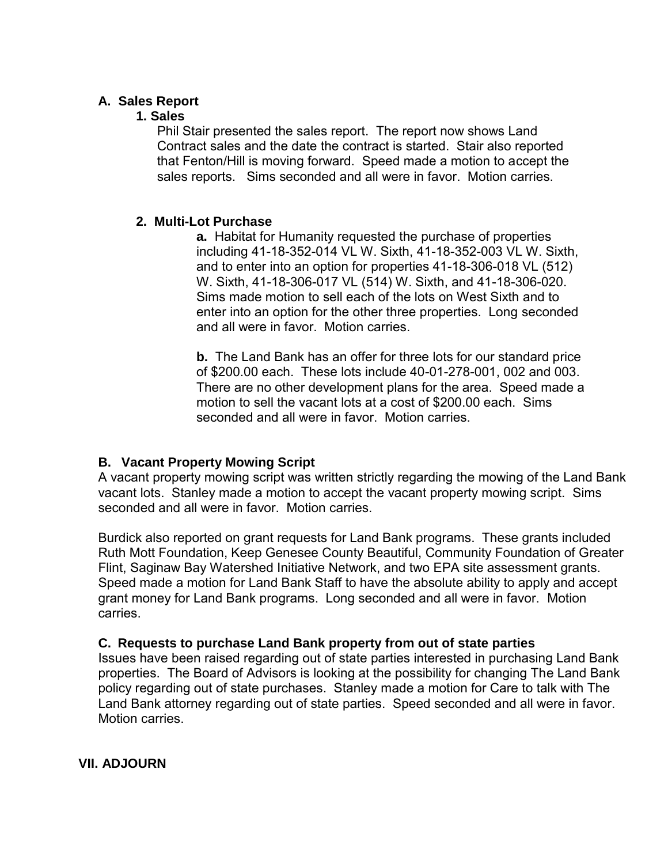## **A. Sales Report**

## **1. Sales**

Phil Stair presented the sales report. The report now shows Land Contract sales and the date the contract is started. Stair also reported that Fenton/Hill is moving forward. Speed made a motion to accept the sales reports. Sims seconded and all were in favor. Motion carries.

## **2. Multi-Lot Purchase**

**a.** Habitat for Humanity requested the purchase of properties including 41-18-352-014 VL W. Sixth, 41-18-352-003 VL W. Sixth, and to enter into an option for properties 41-18-306-018 VL (512) W. Sixth, 41-18-306-017 VL (514) W. Sixth, and 41-18-306-020. Sims made motion to sell each of the lots on West Sixth and to enter into an option for the other three properties. Long seconded and all were in favor. Motion carries.

**b.** The Land Bank has an offer for three lots for our standard price of \$200.00 each. These lots include 40-01-278-001, 002 and 003. There are no other development plans for the area. Speed made a motion to sell the vacant lots at a cost of \$200.00 each. Sims seconded and all were in favor. Motion carries.

## **B. Vacant Property Mowing Script**

A vacant property mowing script was written strictly regarding the mowing of the Land Bank vacant lots. Stanley made a motion to accept the vacant property mowing script. Sims seconded and all were in favor. Motion carries.

Burdick also reported on grant requests for Land Bank programs. These grants included Ruth Mott Foundation, Keep Genesee County Beautiful, Community Foundation of Greater Flint, Saginaw Bay Watershed Initiative Network, and two EPA site assessment grants. Speed made a motion for Land Bank Staff to have the absolute ability to apply and accept grant money for Land Bank programs. Long seconded and all were in favor. Motion carries.

## **C. Requests to purchase Land Bank property from out of state parties**

Issues have been raised regarding out of state parties interested in purchasing Land Bank properties. The Board of Advisors is looking at the possibility for changing The Land Bank policy regarding out of state purchases. Stanley made a motion for Care to talk with The Land Bank attorney regarding out of state parties. Speed seconded and all were in favor. Motion carries.

**VII. ADJOURN**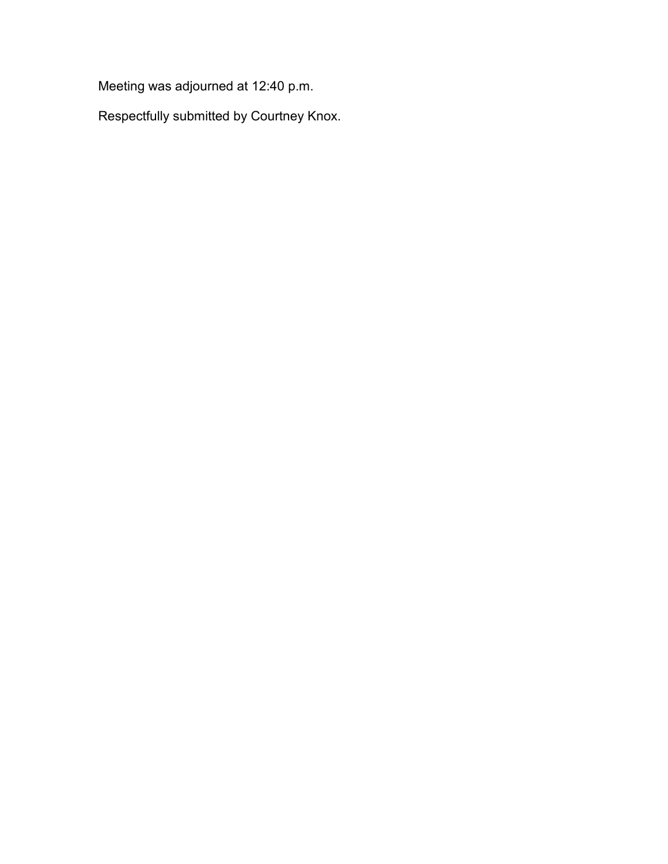Meeting was adjourned at 12:40 p.m.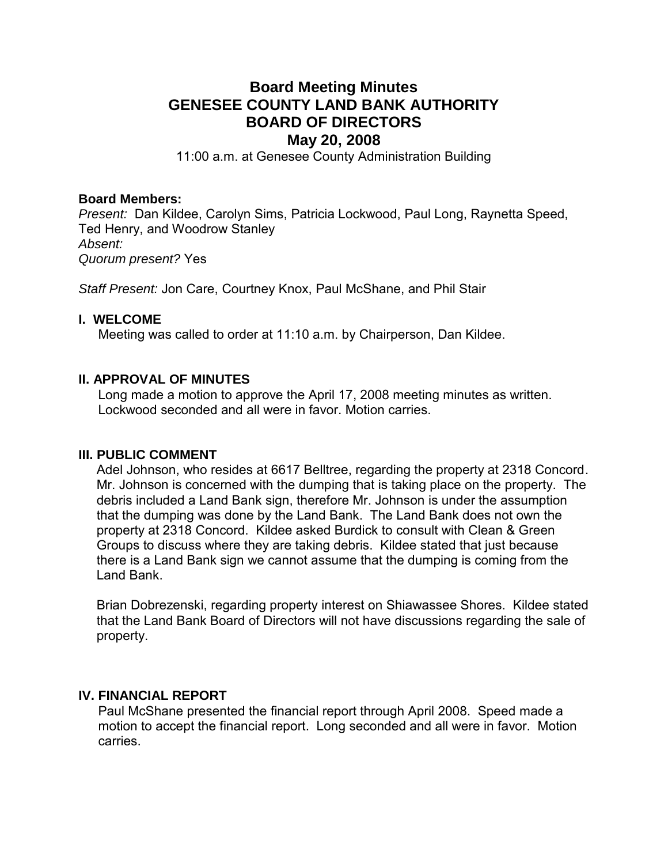## **Board Meeting Minutes GENESEE COUNTY LAND BANK AUTHORITY BOARD OF DIRECTORS May 20, 2008**

11:00 a.m. at Genesee County Administration Building

#### **Board Members:**

*Present:* Dan Kildee, Carolyn Sims, Patricia Lockwood, Paul Long, Raynetta Speed, Ted Henry, and Woodrow Stanley *Absent: Quorum present?* Yes

*Staff Present:* Jon Care, Courtney Knox, Paul McShane, and Phil Stair

#### **I. WELCOME**

Meeting was called to order at 11:10 a.m. by Chairperson, Dan Kildee.

## **II. APPROVAL OF MINUTES**

Long made a motion to approve the April 17, 2008 meeting minutes as written. Lockwood seconded and all were in favor. Motion carries.

#### **III. PUBLIC COMMENT**

Adel Johnson, who resides at 6617 Belltree, regarding the property at 2318 Concord. Mr. Johnson is concerned with the dumping that is taking place on the property. The debris included a Land Bank sign, therefore Mr. Johnson is under the assumption that the dumping was done by the Land Bank. The Land Bank does not own the property at 2318 Concord. Kildee asked Burdick to consult with Clean & Green Groups to discuss where they are taking debris. Kildee stated that just because there is a Land Bank sign we cannot assume that the dumping is coming from the Land Bank.

Brian Dobrezenski, regarding property interest on Shiawassee Shores. Kildee stated that the Land Bank Board of Directors will not have discussions regarding the sale of property.

#### **IV. FINANCIAL REPORT**

Paul McShane presented the financial report through April 2008. Speed made a motion to accept the financial report. Long seconded and all were in favor. Motion carries.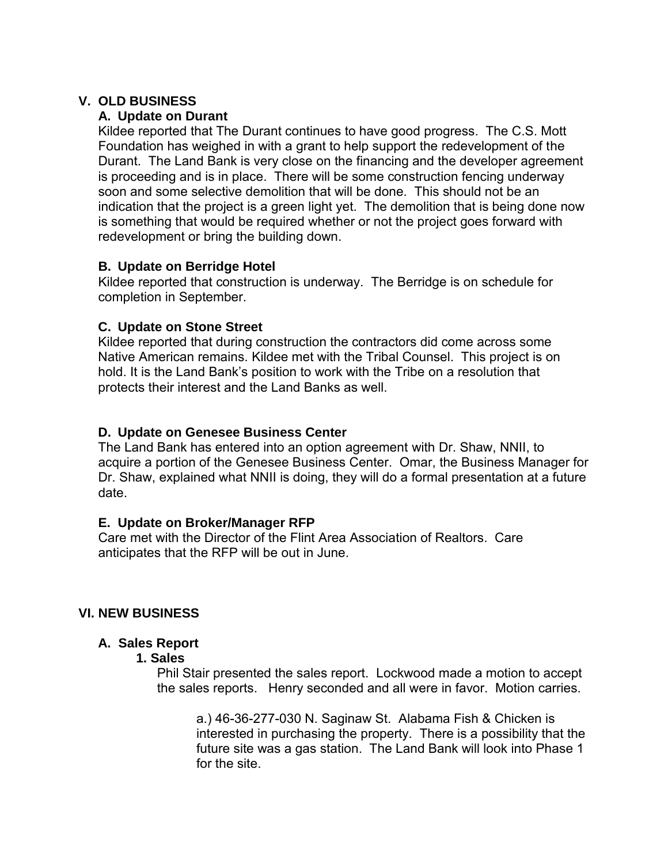## **V. OLD BUSINESS**

## **A. Update on Durant**

Kildee reported that The Durant continues to have good progress. The C.S. Mott Foundation has weighed in with a grant to help support the redevelopment of the Durant. The Land Bank is very close on the financing and the developer agreement is proceeding and is in place. There will be some construction fencing underway soon and some selective demolition that will be done. This should not be an indication that the project is a green light yet. The demolition that is being done now is something that would be required whether or not the project goes forward with redevelopment or bring the building down.

## **B. Update on Berridge Hotel**

Kildee reported that construction is underway. The Berridge is on schedule for completion in September.

## **C. Update on Stone Street**

Kildee reported that during construction the contractors did come across some Native American remains. Kildee met with the Tribal Counsel. This project is on hold. It is the Land Bank's position to work with the Tribe on a resolution that protects their interest and the Land Banks as well.

## **D. Update on Genesee Business Center**

The Land Bank has entered into an option agreement with Dr. Shaw, NNII, to acquire a portion of the Genesee Business Center. Omar, the Business Manager for Dr. Shaw, explained what NNII is doing, they will do a formal presentation at a future date.

## **E. Update on Broker/Manager RFP**

Care met with the Director of the Flint Area Association of Realtors. Care anticipates that the RFP will be out in June.

## **VI. NEW BUSINESS**

## **A. Sales Report**

## **1. Sales**

Phil Stair presented the sales report. Lockwood made a motion to accept the sales reports. Henry seconded and all were in favor. Motion carries.

a.) 46-36-277-030 N. Saginaw St. Alabama Fish & Chicken is interested in purchasing the property. There is a possibility that the future site was a gas station. The Land Bank will look into Phase 1 for the site.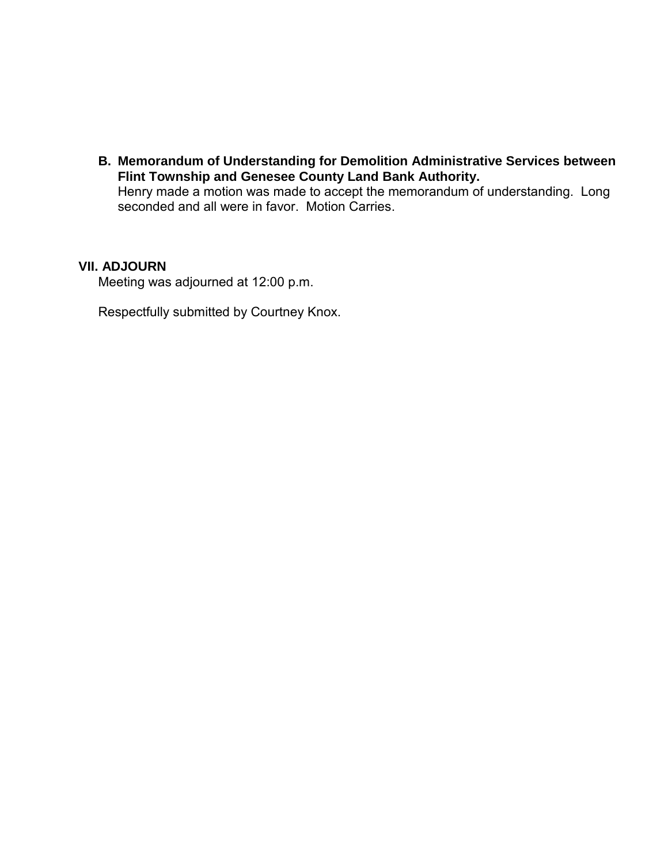**B. Memorandum of Understanding for Demolition Administrative Services between Flint Township and Genesee County Land Bank Authority.**  Henry made a motion was made to accept the memorandum of understanding. Long seconded and all were in favor. Motion Carries.

## **VII. ADJOURN**

Meeting was adjourned at 12:00 p.m.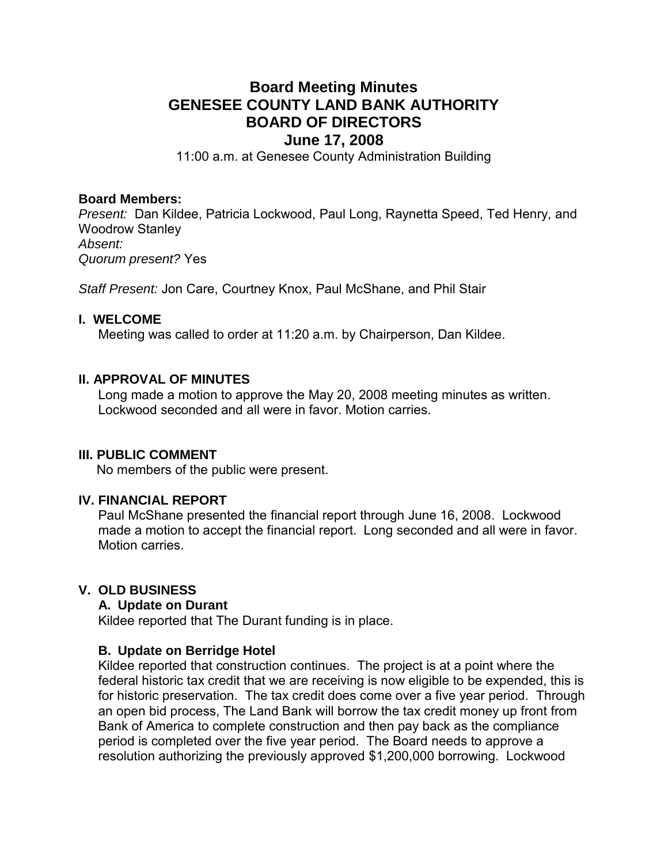# **Board Meeting Minutes GENESEE COUNTY LAND BANK AUTHORITY BOARD OF DIRECTORS**

# **June 17, 2008**

11:00 a.m. at Genesee County Administration Building

#### **Board Members:**

*Present:* Dan Kildee, Patricia Lockwood, Paul Long, Raynetta Speed, Ted Henry, and Woodrow Stanley *Absent: Quorum present?* Yes

*Staff Present:* Jon Care, Courtney Knox, Paul McShane, and Phil Stair

#### **I. WELCOME**

Meeting was called to order at 11:20 a.m. by Chairperson, Dan Kildee.

## **II. APPROVAL OF MINUTES**

Long made a motion to approve the May 20, 2008 meeting minutes as written. Lockwood seconded and all were in favor. Motion carries.

#### **III. PUBLIC COMMENT**

No members of the public were present.

#### **IV. FINANCIAL REPORT**

Paul McShane presented the financial report through June 16, 2008. Lockwood made a motion to accept the financial report. Long seconded and all were in favor. Motion carries.

#### **V. OLD BUSINESS**

#### **A. Update on Durant**

Kildee reported that The Durant funding is in place.

#### **B. Update on Berridge Hotel**

Kildee reported that construction continues. The project is at a point where the federal historic tax credit that we are receiving is now eligible to be expended, this is for historic preservation. The tax credit does come over a five year period. Through an open bid process, The Land Bank will borrow the tax credit money up front from Bank of America to complete construction and then pay back as the compliance period is completed over the five year period. The Board needs to approve a resolution authorizing the previously approved \$1,200,000 borrowing. Lockwood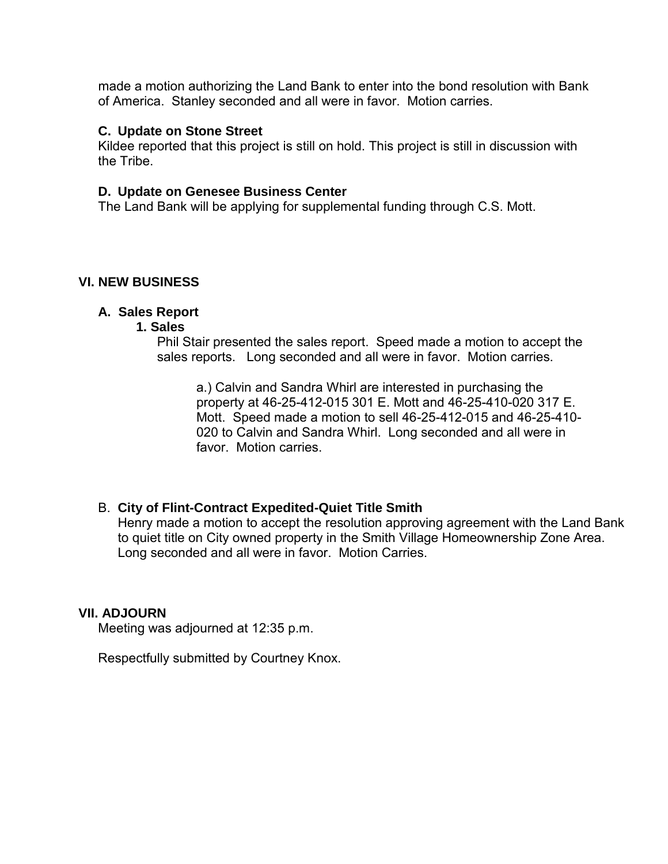made a motion authorizing the Land Bank to enter into the bond resolution with Bank of America. Stanley seconded and all were in favor. Motion carries.

#### **C. Update on Stone Street**

Kildee reported that this project is still on hold. This project is still in discussion with the Tribe.

## **D. Update on Genesee Business Center**

The Land Bank will be applying for supplemental funding through C.S. Mott.

## **VI. NEW BUSINESS**

## **A. Sales Report**

#### **1. Sales**

Phil Stair presented the sales report. Speed made a motion to accept the sales reports. Long seconded and all were in favor. Motion carries.

a.) Calvin and Sandra Whirl are interested in purchasing the property at 46-25-412-015 301 E. Mott and 46-25-410-020 317 E. Mott. Speed made a motion to sell 46-25-412-015 and 46-25-410- 020 to Calvin and Sandra Whirl. Long seconded and all were in favor Motion carries

## B. **City of Flint-Contract Expedited-Quiet Title Smith**

Henry made a motion to accept the resolution approving agreement with the Land Bank to quiet title on City owned property in the Smith Village Homeownership Zone Area. Long seconded and all were in favor. Motion Carries.

## **VII. ADJOURN**

Meeting was adjourned at 12:35 p.m.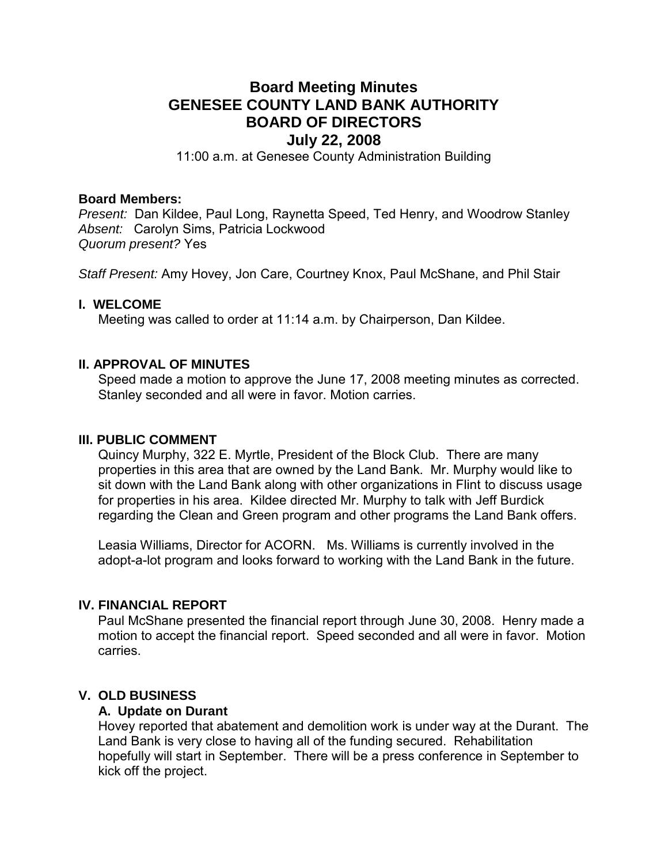## **Board Meeting Minutes GENESEE COUNTY LAND BANK AUTHORITY BOARD OF DIRECTORS July 22, 2008**

11:00 a.m. at Genesee County Administration Building

#### **Board Members:**

*Present:* Dan Kildee, Paul Long, Raynetta Speed, Ted Henry, and Woodrow Stanley *Absent:* Carolyn Sims, Patricia Lockwood *Quorum present?* Yes

*Staff Present:* Amy Hovey, Jon Care, Courtney Knox, Paul McShane, and Phil Stair

#### **I. WELCOME**

Meeting was called to order at 11:14 a.m. by Chairperson, Dan Kildee.

#### **II. APPROVAL OF MINUTES**

Speed made a motion to approve the June 17, 2008 meeting minutes as corrected. Stanley seconded and all were in favor. Motion carries.

#### **III. PUBLIC COMMENT**

Quincy Murphy, 322 E. Myrtle, President of the Block Club. There are many properties in this area that are owned by the Land Bank. Mr. Murphy would like to sit down with the Land Bank along with other organizations in Flint to discuss usage for properties in his area. Kildee directed Mr. Murphy to talk with Jeff Burdick regarding the Clean and Green program and other programs the Land Bank offers.

Leasia Williams, Director for ACORN. Ms. Williams is currently involved in the adopt-a-lot program and looks forward to working with the Land Bank in the future.

#### **IV. FINANCIAL REPORT**

Paul McShane presented the financial report through June 30, 2008. Henry made a motion to accept the financial report. Speed seconded and all were in favor. Motion carries.

#### **V. OLD BUSINESS**

#### **A. Update on Durant**

Hovey reported that abatement and demolition work is under way at the Durant. The Land Bank is very close to having all of the funding secured. Rehabilitation hopefully will start in September. There will be a press conference in September to kick off the project.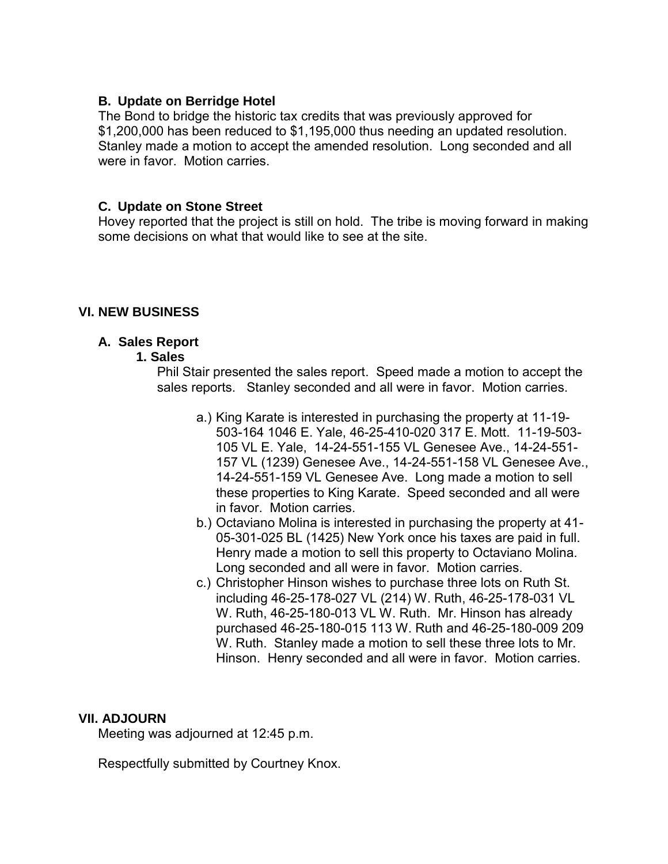## **B. Update on Berridge Hotel**

The Bond to bridge the historic tax credits that was previously approved for \$1,200,000 has been reduced to \$1,195,000 thus needing an updated resolution. Stanley made a motion to accept the amended resolution. Long seconded and all were in favor. Motion carries.

## **C. Update on Stone Street**

Hovey reported that the project is still on hold. The tribe is moving forward in making some decisions on what that would like to see at the site.

## **VI. NEW BUSINESS**

## **A. Sales Report**

#### **1. Sales**

Phil Stair presented the sales report. Speed made a motion to accept the sales reports. Stanley seconded and all were in favor. Motion carries.

- a.) King Karate is interested in purchasing the property at 11-19- 503-164 1046 E. Yale, 46-25-410-020 317 E. Mott. 11-19-503- 105 VL E. Yale, 14-24-551-155 VL Genesee Ave., 14-24-551- 157 VL (1239) Genesee Ave., 14-24-551-158 VL Genesee Ave., 14-24-551-159 VL Genesee Ave. Long made a motion to sell these properties to King Karate. Speed seconded and all were in favor. Motion carries.
- b.) Octaviano Molina is interested in purchasing the property at 41- 05-301-025 BL (1425) New York once his taxes are paid in full. Henry made a motion to sell this property to Octaviano Molina. Long seconded and all were in favor. Motion carries.
- c.) Christopher Hinson wishes to purchase three lots on Ruth St. including 46-25-178-027 VL (214) W. Ruth, 46-25-178-031 VL W. Ruth, 46-25-180-013 VL W. Ruth. Mr. Hinson has already purchased 46-25-180-015 113 W. Ruth and 46-25-180-009 209 W. Ruth. Stanley made a motion to sell these three lots to Mr. Hinson. Henry seconded and all were in favor. Motion carries.

#### **VII. ADJOURN**

Meeting was adjourned at 12:45 p.m.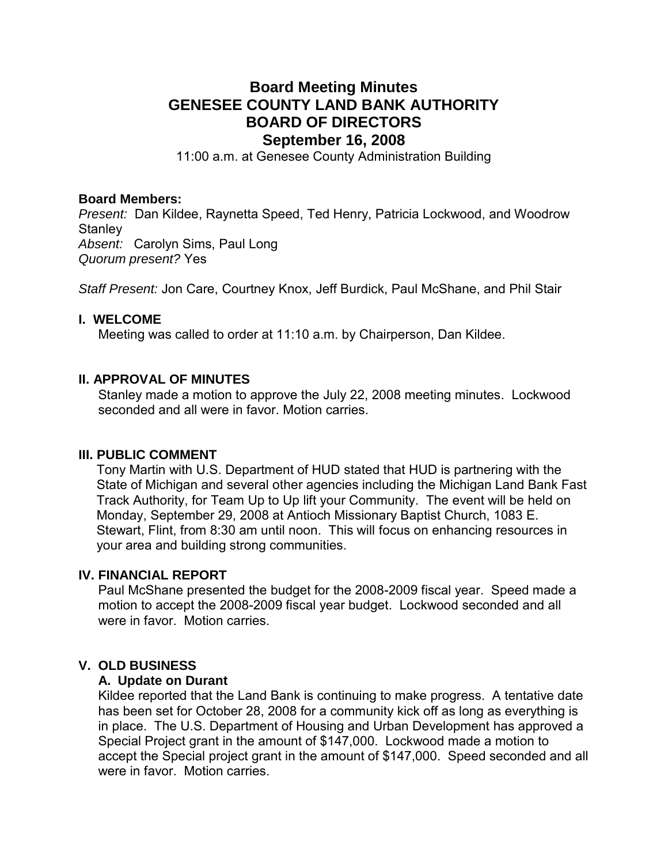## **Board Meeting Minutes GENESEE COUNTY LAND BANK AUTHORITY BOARD OF DIRECTORS September 16, 2008**

11:00 a.m. at Genesee County Administration Building

#### **Board Members:**

*Present:* Dan Kildee, Raynetta Speed, Ted Henry, Patricia Lockwood, and Woodrow **Stanley** *Absent:* Carolyn Sims, Paul Long

*Quorum present?* Yes

*Staff Present:* Jon Care, Courtney Knox, Jeff Burdick, Paul McShane, and Phil Stair

#### **I. WELCOME**

Meeting was called to order at 11:10 a.m. by Chairperson, Dan Kildee.

#### **II. APPROVAL OF MINUTES**

Stanley made a motion to approve the July 22, 2008 meeting minutes. Lockwood seconded and all were in favor. Motion carries

#### **III. PUBLIC COMMENT**

Tony Martin with U.S. Department of HUD stated that HUD is partnering with the State of Michigan and several other agencies including the Michigan Land Bank Fast Track Authority, for Team Up to Up lift your Community. The event will be held on Monday, September 29, 2008 at Antioch Missionary Baptist Church, 1083 E. Stewart, Flint, from 8:30 am until noon. This will focus on enhancing resources in your area and building strong communities.

#### **IV. FINANCIAL REPORT**

Paul McShane presented the budget for the 2008-2009 fiscal year. Speed made a motion to accept the 2008-2009 fiscal year budget. Lockwood seconded and all were in favor. Motion carries.

#### **V. OLD BUSINESS**

#### **A. Update on Durant**

Kildee reported that the Land Bank is continuing to make progress. A tentative date has been set for October 28, 2008 for a community kick off as long as everything is in place. The U.S. Department of Housing and Urban Development has approved a Special Project grant in the amount of \$147,000. Lockwood made a motion to accept the Special project grant in the amount of \$147,000. Speed seconded and all were in favor. Motion carries.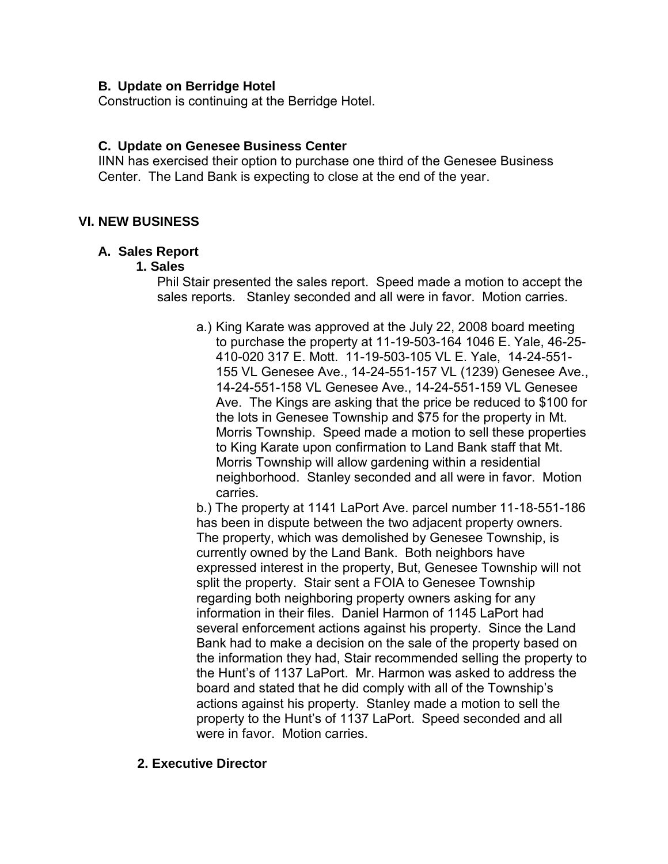## **B. Update on Berridge Hotel**

Construction is continuing at the Berridge Hotel.

## **C. Update on Genesee Business Center**

IINN has exercised their option to purchase one third of the Genesee Business Center. The Land Bank is expecting to close at the end of the year.

## **VI. NEW BUSINESS**

## **A. Sales Report**

#### **1. Sales**

Phil Stair presented the sales report. Speed made a motion to accept the sales reports. Stanley seconded and all were in favor. Motion carries.

a.) King Karate was approved at the July 22, 2008 board meeting to purchase the property at 11-19-503-164 1046 E. Yale, 46-25- 410-020 317 E. Mott. 11-19-503-105 VL E. Yale, 14-24-551- 155 VL Genesee Ave., 14-24-551-157 VL (1239) Genesee Ave., 14-24-551-158 VL Genesee Ave., 14-24-551-159 VL Genesee Ave. The Kings are asking that the price be reduced to \$100 for the lots in Genesee Township and \$75 for the property in Mt. Morris Township. Speed made a motion to sell these properties to King Karate upon confirmation to Land Bank staff that Mt. Morris Township will allow gardening within a residential neighborhood. Stanley seconded and all were in favor. Motion carries.

b.) The property at 1141 LaPort Ave. parcel number 11-18-551-186 has been in dispute between the two adjacent property owners. The property, which was demolished by Genesee Township, is currently owned by the Land Bank. Both neighbors have expressed interest in the property, But, Genesee Township will not split the property. Stair sent a FOIA to Genesee Township regarding both neighboring property owners asking for any information in their files. Daniel Harmon of 1145 LaPort had several enforcement actions against his property. Since the Land Bank had to make a decision on the sale of the property based on the information they had, Stair recommended selling the property to the Hunt's of 1137 LaPort. Mr. Harmon was asked to address the board and stated that he did comply with all of the Township's actions against his property. Stanley made a motion to sell the property to the Hunt's of 1137 LaPort. Speed seconded and all were in favor. Motion carries.

## **2. Executive Director**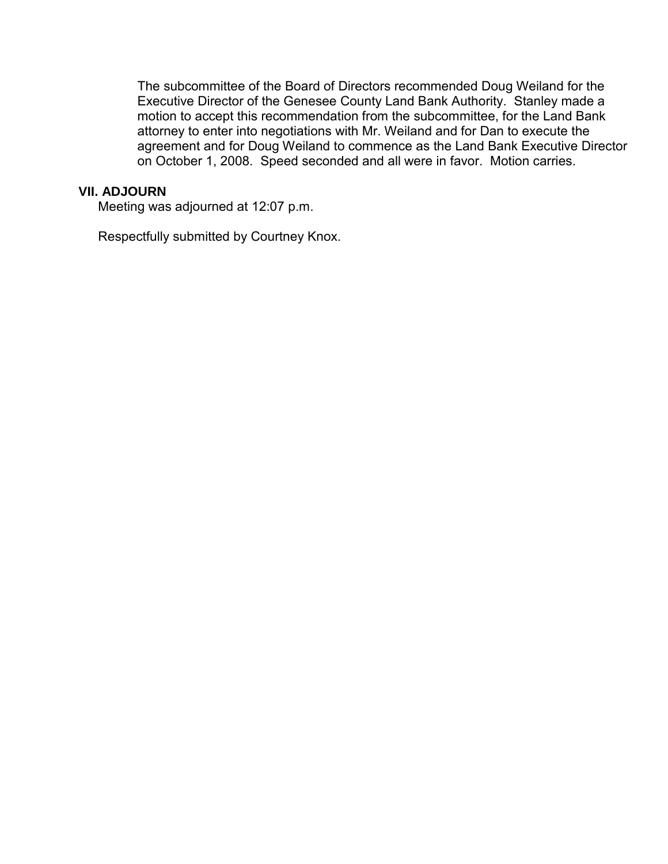The subcommittee of the Board of Directors recommended Doug Weiland for the Executive Director of the Genesee County Land Bank Authority. Stanley made a motion to accept this recommendation from the subcommittee, for the Land Bank attorney to enter into negotiations with Mr. Weiland and for Dan to execute the agreement and for Doug Weiland to commence as the Land Bank Executive Director on October 1, 2008. Speed seconded and all were in favor. Motion carries.

#### **VII. ADJOURN**

Meeting was adjourned at 12:07 p.m.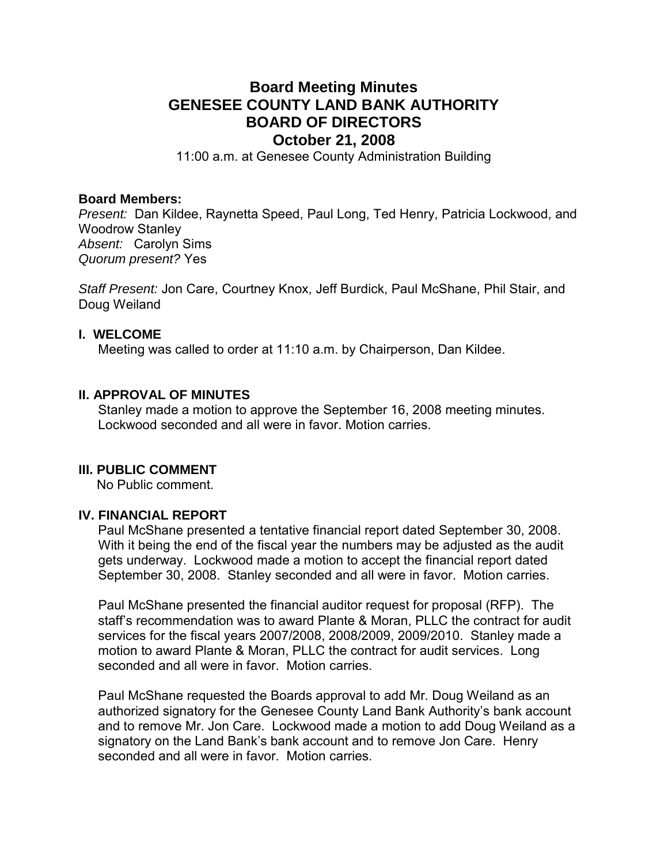## **Board Meeting Minutes GENESEE COUNTY LAND BANK AUTHORITY BOARD OF DIRECTORS October 21, 2008**

11:00 a.m. at Genesee County Administration Building

#### **Board Members:**

*Present:* Dan Kildee, Raynetta Speed, Paul Long, Ted Henry, Patricia Lockwood, and Woodrow Stanley *Absent:* Carolyn Sims *Quorum present?* Yes

*Staff Present:* Jon Care, Courtney Knox, Jeff Burdick, Paul McShane, Phil Stair, and Doug Weiland

#### **I. WELCOME**

Meeting was called to order at 11:10 a.m. by Chairperson, Dan Kildee.

#### **II. APPROVAL OF MINUTES**

Stanley made a motion to approve the September 16, 2008 meeting minutes. Lockwood seconded and all were in favor. Motion carries.

#### **III. PUBLIC COMMENT**

No Public comment.

#### **IV. FINANCIAL REPORT**

Paul McShane presented a tentative financial report dated September 30, 2008. With it being the end of the fiscal year the numbers may be adjusted as the audit gets underway. Lockwood made a motion to accept the financial report dated September 30, 2008. Stanley seconded and all were in favor. Motion carries.

Paul McShane presented the financial auditor request for proposal (RFP). The staff's recommendation was to award Plante & Moran, PLLC the contract for audit services for the fiscal years 2007/2008, 2008/2009, 2009/2010. Stanley made a motion to award Plante & Moran, PLLC the contract for audit services. Long seconded and all were in favor. Motion carries.

Paul McShane requested the Boards approval to add Mr. Doug Weiland as an authorized signatory for the Genesee County Land Bank Authority's bank account and to remove Mr. Jon Care. Lockwood made a motion to add Doug Weiland as a signatory on the Land Bank's bank account and to remove Jon Care. Henry seconded and all were in favor. Motion carries.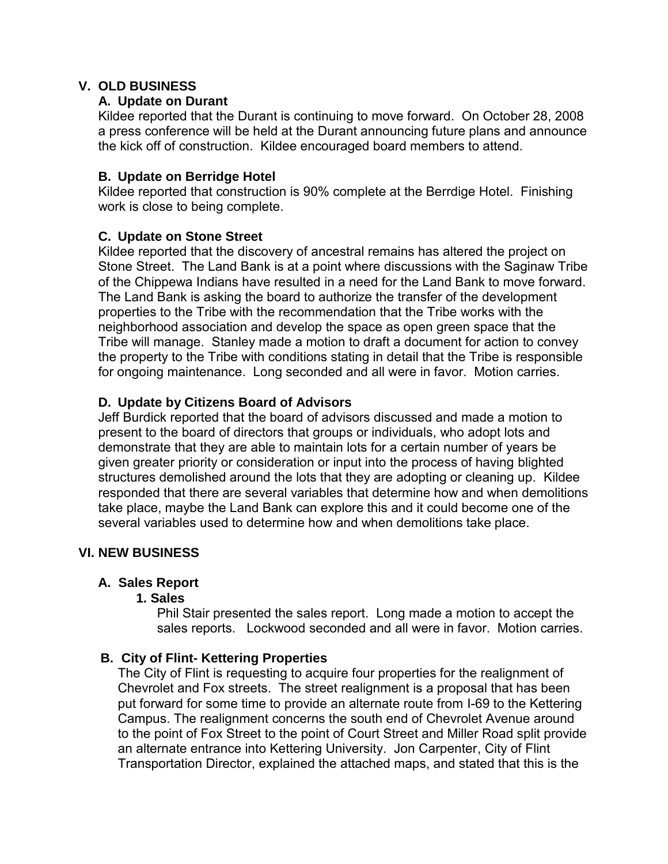## **V. OLD BUSINESS**

## **A. Update on Durant**

Kildee reported that the Durant is continuing to move forward. On October 28, 2008 a press conference will be held at the Durant announcing future plans and announce the kick off of construction. Kildee encouraged board members to attend.

## **B. Update on Berridge Hotel**

Kildee reported that construction is 90% complete at the Berrdige Hotel. Finishing work is close to being complete.

## **C. Update on Stone Street**

Kildee reported that the discovery of ancestral remains has altered the project on Stone Street. The Land Bank is at a point where discussions with the Saginaw Tribe of the Chippewa Indians have resulted in a need for the Land Bank to move forward. The Land Bank is asking the board to authorize the transfer of the development properties to the Tribe with the recommendation that the Tribe works with the neighborhood association and develop the space as open green space that the Tribe will manage. Stanley made a motion to draft a document for action to convey the property to the Tribe with conditions stating in detail that the Tribe is responsible for ongoing maintenance. Long seconded and all were in favor. Motion carries.

## **D. Update by Citizens Board of Advisors**

Jeff Burdick reported that the board of advisors discussed and made a motion to present to the board of directors that groups or individuals, who adopt lots and demonstrate that they are able to maintain lots for a certain number of years be given greater priority or consideration or input into the process of having blighted structures demolished around the lots that they are adopting or cleaning up. Kildee responded that there are several variables that determine how and when demolitions take place, maybe the Land Bank can explore this and it could become one of the several variables used to determine how and when demolitions take place.

## **VI. NEW BUSINESS**

## **A. Sales Report**

## **1. Sales**

Phil Stair presented the sales report. Long made a motion to accept the sales reports. Lockwood seconded and all were in favor. Motion carries.

## **B. City of Flint- Kettering Properties**

The City of Flint is requesting to acquire four properties for the realignment of Chevrolet and Fox streets. The street realignment is a proposal that has been put forward for some time to provide an alternate route from I-69 to the Kettering Campus. The realignment concerns the south end of Chevrolet Avenue around to the point of Fox Street to the point of Court Street and Miller Road split provide an alternate entrance into Kettering University. Jon Carpenter, City of Flint Transportation Director, explained the attached maps, and stated that this is the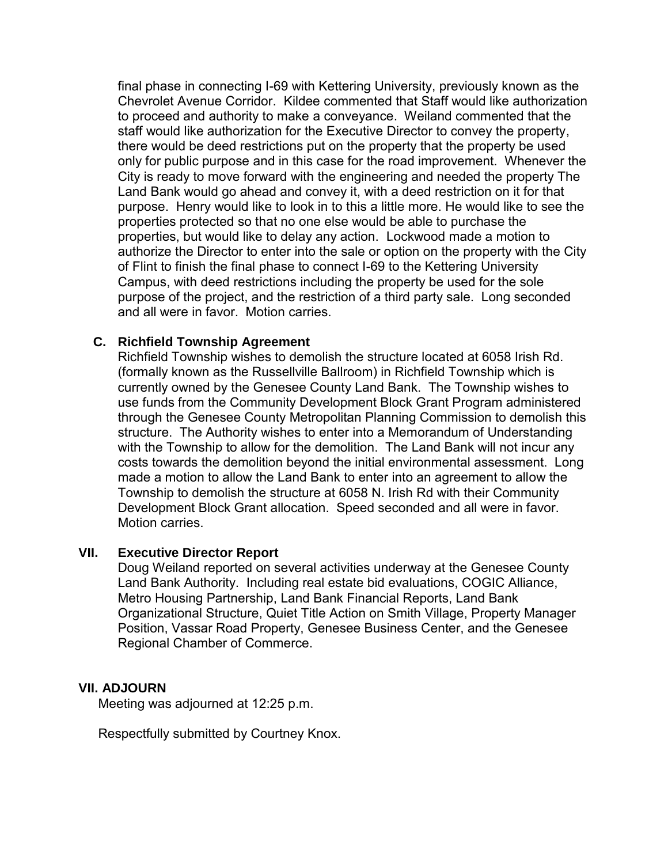final phase in connecting I-69 with Kettering University, previously known as the Chevrolet Avenue Corridor. Kildee commented that Staff would like authorization to proceed and authority to make a conveyance. Weiland commented that the staff would like authorization for the Executive Director to convey the property, there would be deed restrictions put on the property that the property be used only for public purpose and in this case for the road improvement. Whenever the City is ready to move forward with the engineering and needed the property The Land Bank would go ahead and convey it, with a deed restriction on it for that purpose. Henry would like to look in to this a little more. He would like to see the properties protected so that no one else would be able to purchase the properties, but would like to delay any action. Lockwood made a motion to authorize the Director to enter into the sale or option on the property with the City of Flint to finish the final phase to connect I-69 to the Kettering University Campus, with deed restrictions including the property be used for the sole purpose of the project, and the restriction of a third party sale. Long seconded and all were in favor. Motion carries.

## **C. Richfield Township Agreement**

Richfield Township wishes to demolish the structure located at 6058 Irish Rd. (formally known as the Russellville Ballroom) in Richfield Township which is currently owned by the Genesee County Land Bank. The Township wishes to use funds from the Community Development Block Grant Program administered through the Genesee County Metropolitan Planning Commission to demolish this structure. The Authority wishes to enter into a Memorandum of Understanding with the Township to allow for the demolition. The Land Bank will not incur any costs towards the demolition beyond the initial environmental assessment. Long made a motion to allow the Land Bank to enter into an agreement to allow the Township to demolish the structure at 6058 N. Irish Rd with their Community Development Block Grant allocation. Speed seconded and all were in favor. Motion carries.

## **VII. Executive Director Report**

Doug Weiland reported on several activities underway at the Genesee County Land Bank Authority. Including real estate bid evaluations, COGIC Alliance, Metro Housing Partnership, Land Bank Financial Reports, Land Bank Organizational Structure, Quiet Title Action on Smith Village, Property Manager Position, Vassar Road Property, Genesee Business Center, and the Genesee Regional Chamber of Commerce.

#### **VII. ADJOURN**

Meeting was adjourned at 12:25 p.m.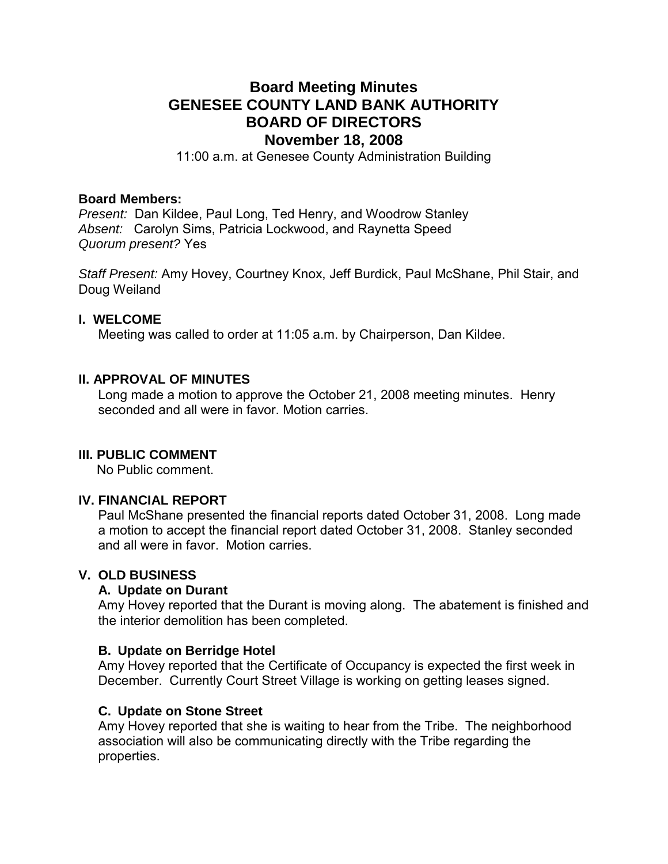## **Board Meeting Minutes GENESEE COUNTY LAND BANK AUTHORITY BOARD OF DIRECTORS November 18, 2008**

11:00 a.m. at Genesee County Administration Building

#### **Board Members:**

*Present:* Dan Kildee, Paul Long, Ted Henry, and Woodrow Stanley *Absent:* Carolyn Sims, Patricia Lockwood, and Raynetta Speed *Quorum present?* Yes

*Staff Present:* Amy Hovey, Courtney Knox, Jeff Burdick, Paul McShane, Phil Stair, and Doug Weiland

#### **I. WELCOME**

Meeting was called to order at 11:05 a.m. by Chairperson, Dan Kildee.

## **II. APPROVAL OF MINUTES**

Long made a motion to approve the October 21, 2008 meeting minutes. Henry seconded and all were in favor. Motion carries

#### **III. PUBLIC COMMENT**

No Public comment.

#### **IV. FINANCIAL REPORT**

Paul McShane presented the financial reports dated October 31, 2008. Long made a motion to accept the financial report dated October 31, 2008. Stanley seconded and all were in favor. Motion carries.

#### **V. OLD BUSINESS**

#### **A. Update on Durant**

Amy Hovey reported that the Durant is moving along. The abatement is finished and the interior demolition has been completed.

#### **B. Update on Berridge Hotel**

Amy Hovey reported that the Certificate of Occupancy is expected the first week in December. Currently Court Street Village is working on getting leases signed.

#### **C. Update on Stone Street**

Amy Hovey reported that she is waiting to hear from the Tribe. The neighborhood association will also be communicating directly with the Tribe regarding the properties.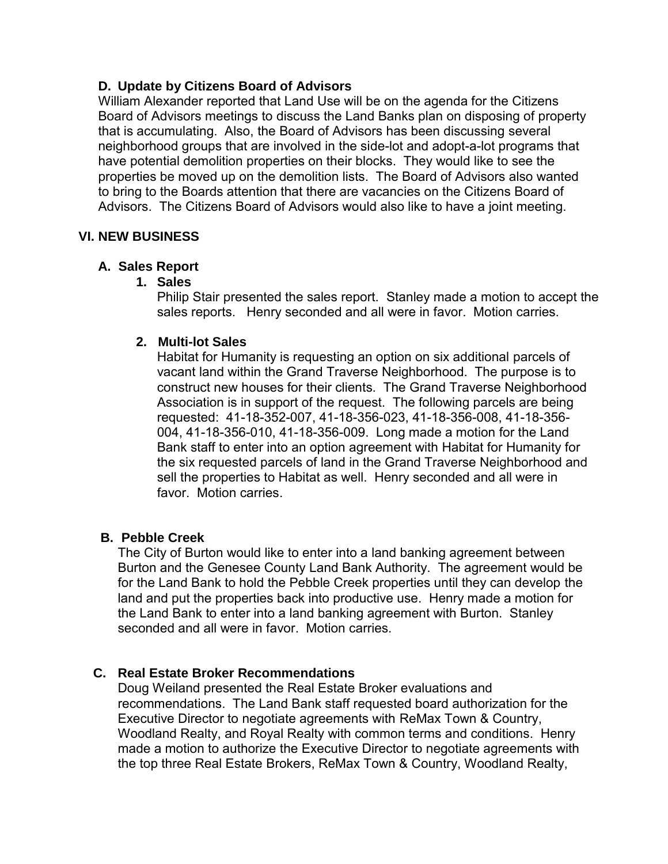## **D. Update by Citizens Board of Advisors**

William Alexander reported that Land Use will be on the agenda for the Citizens Board of Advisors meetings to discuss the Land Banks plan on disposing of property that is accumulating. Also, the Board of Advisors has been discussing several neighborhood groups that are involved in the side-lot and adopt-a-lot programs that have potential demolition properties on their blocks. They would like to see the properties be moved up on the demolition lists. The Board of Advisors also wanted to bring to the Boards attention that there are vacancies on the Citizens Board of Advisors. The Citizens Board of Advisors would also like to have a joint meeting.

## **VI. NEW BUSINESS**

## **A. Sales Report**

## **1. Sales**

Philip Stair presented the sales report. Stanley made a motion to accept the sales reports. Henry seconded and all were in favor. Motion carries.

## **2. Multi-lot Sales**

Habitat for Humanity is requesting an option on six additional parcels of vacant land within the Grand Traverse Neighborhood. The purpose is to construct new houses for their clients. The Grand Traverse Neighborhood Association is in support of the request. The following parcels are being requested: 41-18-352-007, 41-18-356-023, 41-18-356-008, 41-18-356- 004, 41-18-356-010, 41-18-356-009. Long made a motion for the Land Bank staff to enter into an option agreement with Habitat for Humanity for the six requested parcels of land in the Grand Traverse Neighborhood and sell the properties to Habitat as well. Henry seconded and all were in favor. Motion carries.

## **B. Pebble Creek**

The City of Burton would like to enter into a land banking agreement between Burton and the Genesee County Land Bank Authority. The agreement would be for the Land Bank to hold the Pebble Creek properties until they can develop the land and put the properties back into productive use. Henry made a motion for the Land Bank to enter into a land banking agreement with Burton. Stanley seconded and all were in favor. Motion carries.

## **C. Real Estate Broker Recommendations**

Doug Weiland presented the Real Estate Broker evaluations and recommendations. The Land Bank staff requested board authorization for the Executive Director to negotiate agreements with ReMax Town & Country, Woodland Realty, and Royal Realty with common terms and conditions. Henry made a motion to authorize the Executive Director to negotiate agreements with the top three Real Estate Brokers, ReMax Town & Country, Woodland Realty,